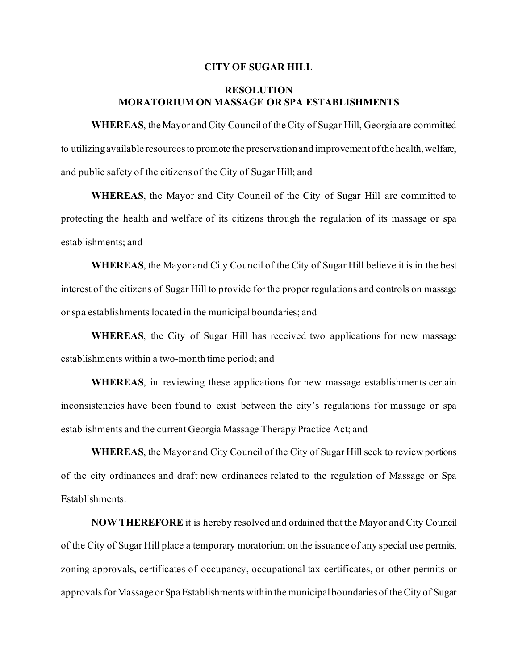## **CITY OF SUGAR HILL**

## **RESOLUTION MORATORIUM ON MASSAGE OR SPA ESTABLISHMENTS**

**WHEREAS**, the Mayor and City Council of the City of Sugar Hill, Georgia are committed to utilizing available resources to promote the preservation and improvement of the health, welfare, and public safety of the citizens of the City of Sugar Hill; and

**WHEREAS**, the Mayor and City Council of the City of Sugar Hill are committed to protecting the health and welfare of its citizens through the regulation of its massage or spa establishments; and

**WHEREAS**, the Mayor and City Council of the City of Sugar Hill believe it is in the best interest of the citizens of Sugar Hill to provide for the proper regulations and controls on massage or spa establishments located in the municipal boundaries; and

**WHEREAS**, the City of Sugar Hill has received two applications for new massage establishments within a two-month time period; and

**WHEREAS**, in reviewing these applications for new massage establishments certain inconsistencies have been found to exist between the city's regulations for massage or spa establishments and the current Georgia Massage Therapy Practice Act; and

**WHEREAS**, the Mayor and City Council of the City of Sugar Hill seek to review portions of the city ordinances and draft new ordinances related to the regulation of Massage or Spa Establishments.

**NOW THEREFORE** it is hereby resolved and ordained that the Mayor and City Council of the City of Sugar Hill place a temporary moratorium on the issuance of any special use permits, zoning approvals, certificates of occupancy, occupational tax certificates, or other permits or approvals for Massage or Spa Establishments within the municipal boundaries of the City of Sugar